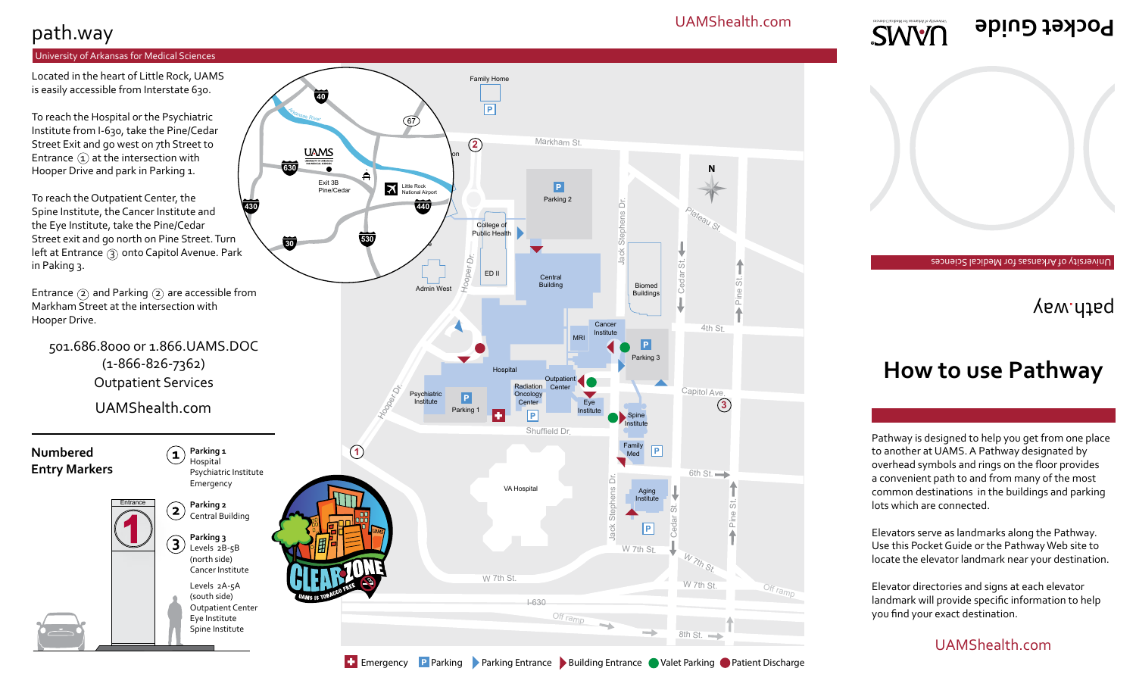#### UAMShealth.com

Plateau St.

**N**

 $\overline{C}$ 

Jack Stephens Dr.

Biomed Buildings

Cancer Institute

ine St.

**3**

4th St.

Pine St.

Off ramp

## path.way

#### University of Arkansas for Medical Sciences

Located in the heart of Little Rock, UAMS is easily accessible from Interstate 630.

To reach the Hospital or the Psychiatric Institute from I-630, take the Pine/Cedar Street Exit and go west on 7th Street to Entrance  $(1)$  at the intersection with Hooper Drive and park in Parking 1.

To reach the Outpatient Center, the Spine Institute, the Cancer Institute and the Eye Institute, take the Pine/Cedar Street exit and go north on Pine Street. Turn left at Entrance (3) onto Capitol Avenue. Park in Paking 3. **430**

Entrance  $(2)$  and Parking  $(2)$  are accessible from Markham Street at the intersection with Hooper Drive.

501.686.8000 or 1.866.UAMS.DOC (1-866-826-7362) Outpatient Services



**SWVN** 

University of Arkansas for Medical Sciences

**Pocket Guide**

## yaw.ntaq

# **How to use Pathway**

Pathway is designed to help you get from one place to another at UAMS. A Pathway designated by overhead symbols and rings on the floor provides a convenient path to and from many of the most common destinations in the buildings and parking lots which are connected.

Elevators serve as landmarks along the Pathway. Use this Pocket Guide or the Pathway Web site to locate the elevator landmark near your destination.

Elevator directories and signs at each elevator landmark will provide specific information to help you find your exact destination.

#### UAMShealth.com

Emergency Parking Parking Entrance Building Entrance Valet Parking Patient Discharge

Markham St.

Parking 2

 $\boxed{P}$ 

**Central** Building

foop<sub>er</sub>

ED II

College of Public Health

**2**

Family Home

 $\boxed{\mathsf{P}}$ 

**I** Don Education

 $\overline{e}$ 

**530**

Little Rock national Airpor

 $\boldsymbol{\times}$ 

 $\left(\overline{67}\right)$ 

**140** 

**630**

<sup>A</sup><sup>r</sup>kansa<sup>s</sup> <sup>R</sup>ive<sup>r</sup>

**40**

**UAMS** 

Exit 3B Pine/Cedar

**句** 

Admin West